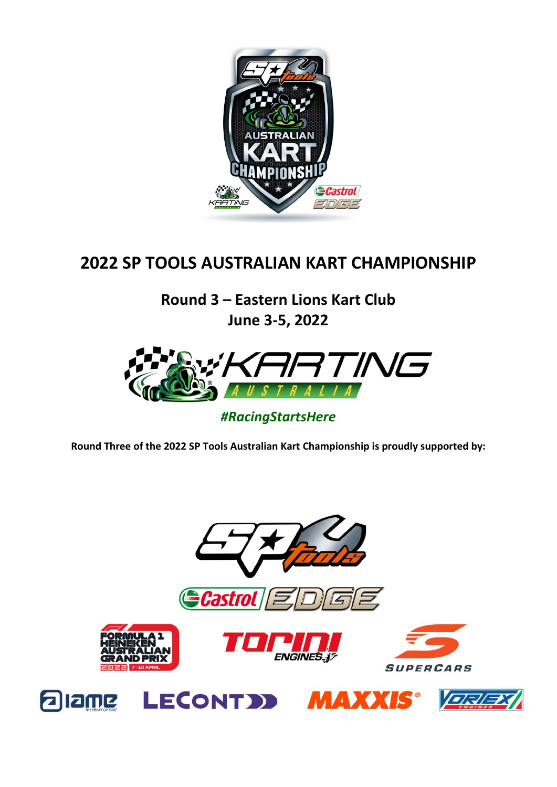

# **2022 SP TOOLS AUSTRALIAN KART CHAMPIONSHIP**

**Round 3 – Eastern Lions Kart Club June 3-5, 2022**



# *#RacingStartsHere*

**Round Three of the 2022 SP Tools Australian Kart Championship is proudly supported by:**

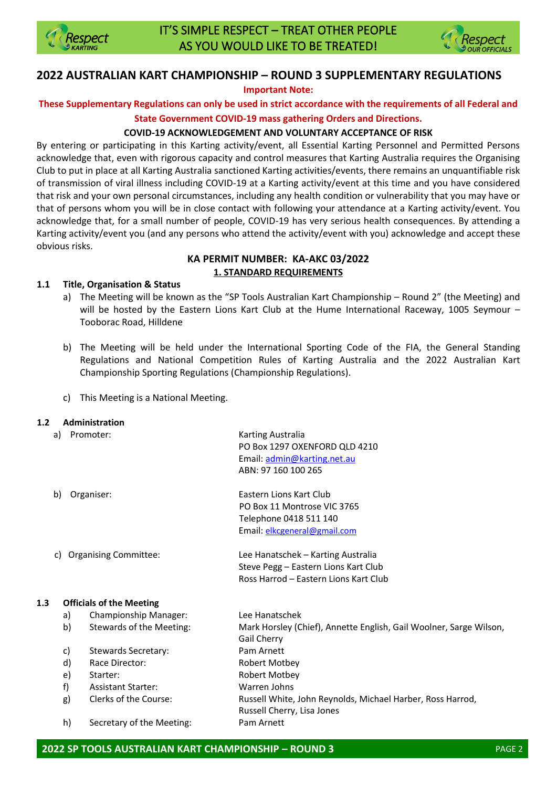



### **2022 AUSTRALIAN KART CHAMPIONSHIP – ROUND 3 SUPPLEMENTARY REGULATIONS**

**Important Note:**

**These Supplementary Regulations can only be used in strict accordance with the requirements of all Federal and** 

#### **State Government COVID-19 mass gathering Orders and Directions.**

#### **COVID-19 ACKNOWLEDGEMENT AND VOLUNTARY ACCEPTANCE OF RISK**

By entering or participating in this Karting activity/event, all Essential Karting Personnel and Permitted Persons acknowledge that, even with rigorous capacity and control measures that Karting Australia requires the Organising Club to put in place at all Karting Australia sanctioned Karting activities/events, there remains an unquantifiable risk of transmission of viral illness including COVID-19 at a Karting activity/event at this time and you have considered that risk and your own personal circumstances, including any health condition or vulnerability that you may have or that of persons whom you will be in close contact with following your attendance at a Karting activity/event. You acknowledge that, for a small number of people, COVID-19 has very serious health consequences. By attending a Karting activity/event you (and any persons who attend the activity/event with you) acknowledge and accept these obvious risks.

#### **KA PERMIT NUMBER: KA-AKC 03/2022 1. STANDARD REQUIREMENTS**

#### **1.1 Title, Organisation & Status**

- a) The Meeting will be known as the "SP Tools Australian Kart Championship Round 2" (the Meeting) and will be hosted by the Eastern Lions Kart Club at the Hume International Raceway, 1005 Seymour – Tooborac Road, Hilldene
- b) The Meeting will be held under the International Sporting Code of the FIA, the General Standing Regulations and National Competition Rules of Karting Australia and the 2022 Australian Kart Championship Sporting Regulations (Championship Regulations).
- c) This Meeting is a National Meeting.

#### **1.2 Administration**

|                                    | a) | Promoter:                       | Karting Australia<br>PO Box 1297 OXENFORD QLD 4210<br>Email: admin@karting.net.au<br>ABN: 97 160 100 265                |
|------------------------------------|----|---------------------------------|-------------------------------------------------------------------------------------------------------------------------|
|                                    | b) | Organiser:                      | <b>Fastern Lions Kart Club</b><br>PO Box 11 Montrose VIC 3765<br>Telephone 0418 511 140<br>Email: elkcgeneral@gmail.com |
| <b>Organising Committee:</b><br>C) |    |                                 | Lee Hanatschek - Karting Australia<br>Steve Pegg - Eastern Lions Kart Club<br>Ross Harrod - Eastern Lions Kart Club     |
| 1.3                                |    | <b>Officials of the Meeting</b> |                                                                                                                         |
|                                    | a) | Championship Manager:           | Lee Hanatschek                                                                                                          |
|                                    | b) | Stewards of the Meeting:        | Mark Horsley (Chief), Annette English, Gail Woolner, Sarge Wilson,<br><b>Gail Cherry</b>                                |
|                                    | c) | Stewards Secretary:             | Pam Arnett                                                                                                              |
|                                    | d) | Race Director:                  | Robert Motbey                                                                                                           |
|                                    | e) | Starter:                        | Robert Motbey                                                                                                           |
|                                    | f) | <b>Assistant Starter:</b>       | Warren Johns                                                                                                            |
|                                    | g) | Clerks of the Course:           | Russell White, John Reynolds, Michael Harber, Ross Harrod,<br>Russell Cherry, Lisa Jones                                |
|                                    | h) | Secretary of the Meeting:       | Pam Arnett                                                                                                              |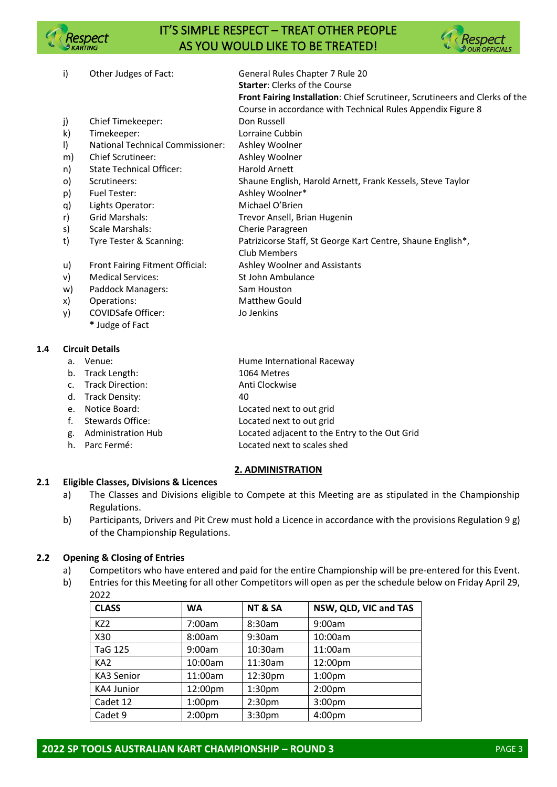

# IT'S SIMPLE RESPECT – TREAT OTHER PEOPLE AS YOU WOULD LIKE TO BE TREATED!



- i) Other Judges of Fact: General Rules Chapter 7 Rule 20 **Starter**: Clerks of the Course **Front Fairing Installation**: Chief Scrutineer, Scrutineers and Clerks of the Course in accordance with Technical Rules Appendix Figure 8 j) Chief Timekeeper: Don Russell k) Timekeeper: Lorraine Cubbin l) National Technical Commissioner: Ashley Woolner m) Chief Scrutineer: Ashley Woolner n) State Technical Officer: Harold Arnett o) Scrutineers: Shaune English, Harold Arnett, Frank Kessels, Steve Taylor p) Fuel Tester: Ashley Woolner\* q) Lights Operator: Michael O'Brien r) Grid Marshals: Trevor Ansell, Brian Hugenin s) Scale Marshals: Cherie Paragreen t) Tyre Tester & Scanning: Patrizicorse Staff, St George Kart Centre, Shaune English\*, Club Members u) Front Fairing Fitment Official: Ashley Woolner and Assistants v) Medical Services: St John Ambulance w) Paddock Managers: Sam Houston
- x) Operations: Matthew Gould
- y) COVIDSafe Officer: Jo Jenkins
	- **\*** Judge of Fact

#### **1.4 Circuit Details**

- a. Venue: Hume International Raceway
- b. Track Length: 1064 Metres
- c. Track Direction: Anti Clockwise
- d. Track Density: 40
- e. Notice Board: Located next to out grid
- 
- f. Stewards Office: Located next to out grid
- g. Administration Hub Located adjacent to the Entry to the Out Grid
- h. Parc Fermé: Located next to scales shed

#### **2. ADMINISTRATION**

#### **2.1 Eligible Classes, Divisions & Licences**

- a) The Classes and Divisions eligible to Compete at this Meeting are as stipulated in the Championship Regulations.
- b) Participants, Drivers and Pit Crew must hold a Licence in accordance with the provisions Regulation 9 g) of the Championship Regulations.

#### **2.2 Opening & Closing of Entries**

- a) Competitors who have entered and paid for the entire Championship will be pre-entered for this Event.
- b) Entries for this Meeting for all other Competitors will open as per the schedule below on Friday April 29, 2022

| <b>CLASS</b>      | <b>WA</b>          | NT&SA              | NSW, QLD, VIC and TAS |
|-------------------|--------------------|--------------------|-----------------------|
| KZ <sub>2</sub>   | 7:00am             | 8:30am             | 9:00am                |
| X30               | 8:00am             | 9:30am             | 10:00am               |
| <b>TaG 125</b>    | 9:00am             | 10:30am            | 11:00am               |
| KA <sub>2</sub>   | 10:00am            | 11:30am            | 12:00pm               |
| KA3 Senior        | 11:00am            | 12:30pm            | 1:00 <sub>pm</sub>    |
| <b>KA4 Junior</b> | 12:00pm            | 1:30 <sub>pm</sub> | 2:00 <sub>pm</sub>    |
| Cadet 12          | 1:00 <sub>pm</sub> | 2:30 <sub>pm</sub> | 3:00pm                |
| Cadet 9           | 2:00 <sub>pm</sub> | 3:30pm             | 4:00pm                |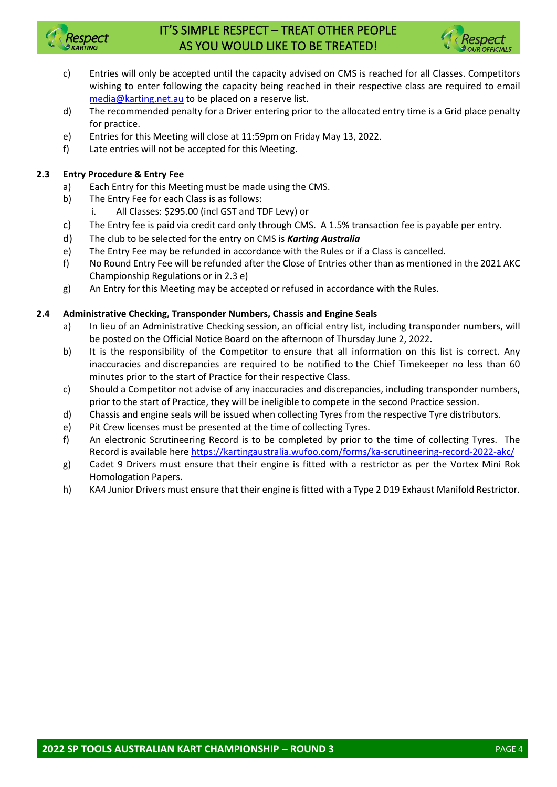

# IT'S SIMPLE RESPECT – TREAT OTHER PEOPLE AS YOU WOULD LIKE TO BE TREATED!



- c) Entries will only be accepted until the capacity advised on CMS is reached for all Classes. Competitors wishing to enter following the capacity being reached in their respective class are required to email [media@karting.net.au](mailto:media@karting.net.au) to be placed on a reserve list.
- d) The recommended penalty for a Driver entering prior to the allocated entry time is a Grid place penalty for practice.
- e) Entries for this Meeting will close at 11:59pm on Friday May 13, 2022.
- f) Late entries will not be accepted for this Meeting.

#### **2.3 Entry Procedure & Entry Fee**

- a) Each Entry for this Meeting must be made using the CMS.
- b) The Entry Fee for each Class is as follows:
	- i. All Classes: \$295.00 (incl GST and TDF Levy) or
- c) The Entry fee is paid via credit card only through CMS. A 1.5% transaction fee is payable per entry.
- d) The club to be selected for the entry on CMS is *Karting Australia*
- e) The Entry Fee may be refunded in accordance with the Rules or if a Class is cancelled.
- f) No Round Entry Fee will be refunded after the Close of Entries other than as mentioned in the 2021 AKC Championship Regulations or in 2.3 e)
- g) An Entry for this Meeting may be accepted or refused in accordance with the Rules.

#### **2.4 Administrative Checking, Transponder Numbers, Chassis and Engine Seals**

- a) In lieu of an Administrative Checking session, an official entry list, including transponder numbers, will be posted on the Official Notice Board on the afternoon of Thursday June 2, 2022.
- b) It is the responsibility of the Competitor to ensure that all information on this list is correct. Any inaccuracies and discrepancies are required to be notified to the Chief Timekeeper no less than 60 minutes prior to the start of Practice for their respective Class.
- c) Should a Competitor not advise of any inaccuracies and discrepancies, including transponder numbers, prior to the start of Practice, they will be ineligible to compete in the second Practice session.
- d) Chassis and engine seals will be issued when collecting Tyres from the respective Tyre distributors.
- e) Pit Crew licenses must be presented at the time of collecting Tyres.
- f) An electronic Scrutineering Record is to be completed by prior to the time of collecting Tyres. The Record is available here <https://kartingaustralia.wufoo.com/forms/ka-scrutineering-record-2022-akc/>
- g) Cadet 9 Drivers must ensure that their engine is fitted with a restrictor as per the Vortex Mini Rok Homologation Papers.
- h) KA4 Junior Drivers must ensure that their engine is fitted with a Type 2 D19 Exhaust Manifold Restrictor.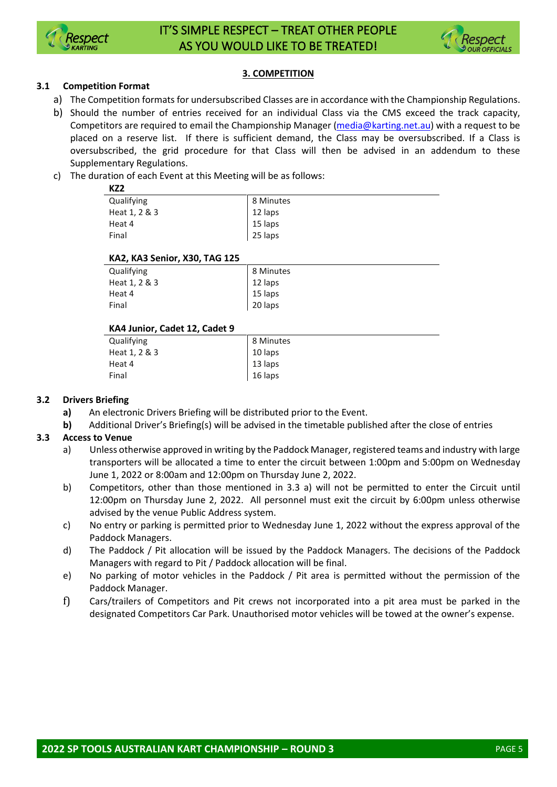



#### **3. COMPETITION**

#### **3.1 Competition Format**

- a) The Competition formats for undersubscribed Classes are in accordance with the Championship Regulations.
- b) Should the number of entries received for an individual Class via the CMS exceed the track capacity, Competitors are required to email the Championship Manager [\(media@karting.net.au\)](mailto:media@karting.net.au) with a request to be placed on a reserve list. If there is sufficient demand, the Class may be oversubscribed. If a Class is oversubscribed, the grid procedure for that Class will then be advised in an addendum to these Supplementary Regulations.
- c) The duration of each Event at this Meeting will be as follows:

| .             |           |  |
|---------------|-----------|--|
| Qualifying    | 8 Minutes |  |
| Heat 1, 2 & 3 | 12 laps   |  |
| Heat 4        | 15 laps   |  |
| Final         | 25 laps   |  |
|               |           |  |

#### **KA2, KA3 Senior, X30, TAG 125**

| Qualifying              | 8 Minutes          |
|-------------------------|--------------------|
| Heat 1, 2 & 3<br>Heat 4 | 12 laps<br>15 laps |
| Final                   | 20 laps            |

#### **KA4 Junior, Cadet 12, Cadet 9**

| Qualifying    | 8 Minutes |
|---------------|-----------|
| Heat 1, 2 & 3 | 10 laps   |
| Heat 4        | 13 laps   |
| Final         | 16 laps   |

#### **3.2 Drivers Briefing**

- **a)** An electronic Drivers Briefing will be distributed prior to the Event.
- **b)** Additional Driver's Briefing(s) will be advised in the timetable published after the close of entries

#### **3.3 Access to Venue**

- a) Unless otherwise approved in writing by the Paddock Manager, registered teams and industry with large transporters will be allocated a time to enter the circuit between 1:00pm and 5:00pm on Wednesday June 1, 2022 or 8:00am and 12:00pm on Thursday June 2, 2022.
- b) Competitors, other than those mentioned in 3.3 a) will not be permitted to enter the Circuit until 12:00pm on Thursday June 2, 2022. All personnel must exit the circuit by 6:00pm unless otherwise advised by the venue Public Address system.
- c) No entry or parking is permitted prior to Wednesday June 1, 2022 without the express approval of the Paddock Managers.
- d) The Paddock / Pit allocation will be issued by the Paddock Managers. The decisions of the Paddock Managers with regard to Pit / Paddock allocation will be final.
- e) No parking of motor vehicles in the Paddock / Pit area is permitted without the permission of the Paddock Manager.
- f) Cars/trailers of Competitors and Pit crews not incorporated into a pit area must be parked in the designated Competitors Car Park. Unauthorised motor vehicles will be towed at the owner's expense.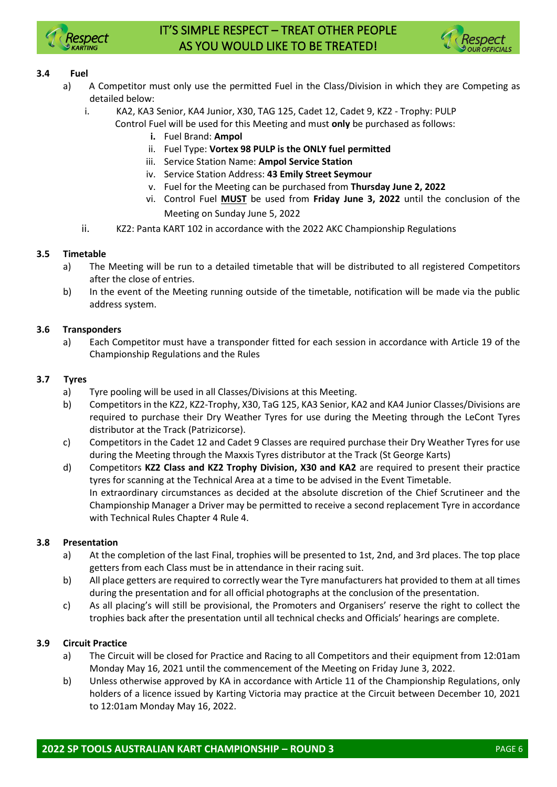

# IT'S SIMPLE RESPECT – TREAT OTHER PEOPLE AS YOU WOULD LIKE TO BE TREATED!



#### **3.4 Fuel**

- a) A Competitor must only use the permitted Fuel in the Class/Division in which they are Competing as detailed below:
	- i. KA2, KA3 Senior, KA4 Junior, X30, TAG 125, Cadet 12, Cadet 9, KZ2 Trophy: PULP Control Fuel will be used for this Meeting and must **only** be purchased as follows:
		- **i.** Fuel Brand: **Ampol**
		- ii. Fuel Type: **Vortex 98 PULP is the ONLY fuel permitted**
		- iii. Service Station Name: **Ampol Service Station**
		- iv. Service Station Address: **43 Emily Street Seymour**
		- v. Fuel for the Meeting can be purchased from **Thursday June 2, 2022**
		- vi. Control Fuel **MUST** be used from **Friday June 3, 2022** until the conclusion of the Meeting on Sunday June 5, 2022
	- ii. KZ2: Panta KART 102 in accordance with the 2022 AKC Championship Regulations

#### **3.5 Timetable**

- a) The Meeting will be run to a detailed timetable that will be distributed to all registered Competitors after the close of entries.
- b) In the event of the Meeting running outside of the timetable, notification will be made via the public address system.

#### **3.6 Transponders**

a) Each Competitor must have a transponder fitted for each session in accordance with Article 19 of the Championship Regulations and the Rules

#### **3.7 Tyres**

- a) Tyre pooling will be used in all Classes/Divisions at this Meeting.
- b) Competitors in the KZ2, KZ2-Trophy, X30, TaG 125, KA3 Senior, KA2 and KA4 Junior Classes/Divisions are required to purchase their Dry Weather Tyres for use during the Meeting through the LeCont Tyres distributor at the Track (Patrizicorse).
- c) Competitors in the Cadet 12 and Cadet 9 Classes are required purchase their Dry Weather Tyres for use during the Meeting through the Maxxis Tyres distributor at the Track (St George Karts)
- d) Competitors **KZ2 Class and KZ2 Trophy Division, X30 and KA2** are required to present their practice tyres for scanning at the Technical Area at a time to be advised in the Event Timetable. In extraordinary circumstances as decided at the absolute discretion of the Chief Scrutineer and the Championship Manager a Driver may be permitted to receive a second replacement Tyre in accordance with Technical Rules Chapter 4 Rule 4.

#### **3.8 Presentation**

- a) At the completion of the last Final, trophies will be presented to 1st, 2nd, and 3rd places. The top place getters from each Class must be in attendance in their racing suit.
- b) All place getters are required to correctly wear the Tyre manufacturers hat provided to them at all times during the presentation and for all official photographs at the conclusion of the presentation.
- c) As all placing's will still be provisional, the Promoters and Organisers' reserve the right to collect the trophies back after the presentation until all technical checks and Officials' hearings are complete.

#### **3.9 Circuit Practice**

- a) The Circuit will be closed for Practice and Racing to all Competitors and their equipment from 12:01am Monday May 16, 2021 until the commencement of the Meeting on Friday June 3, 2022.
- b) Unless otherwise approved by KA in accordance with Article 11 of the Championship Regulations, only holders of a licence issued by Karting Victoria may practice at the Circuit between December 10, 2021 to 12:01am Monday May 16, 2022.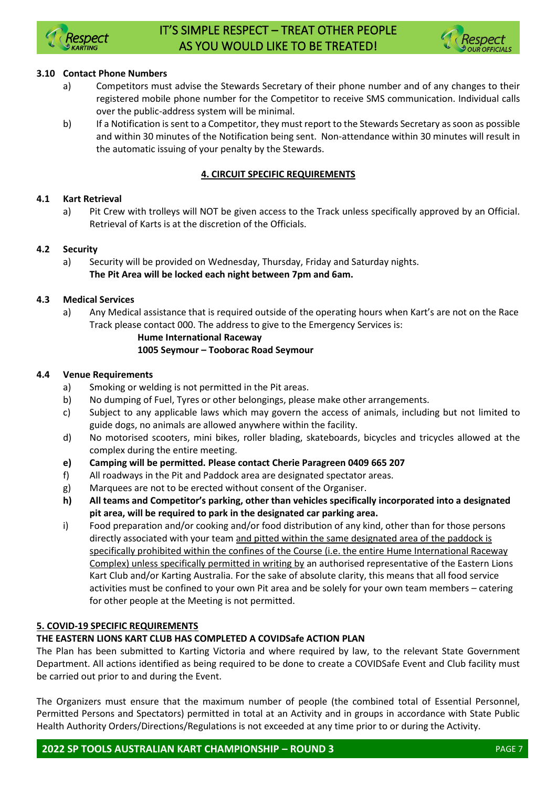



#### **3.10 Contact Phone Numbers**

- a) Competitors must advise the Stewards Secretary of their phone number and of any changes to their registered mobile phone number for the Competitor to receive SMS communication. Individual calls over the public-address system will be minimal.
- b) If a Notification is sent to a Competitor, they must report to the Stewards Secretary as soon as possible and within 30 minutes of the Notification being sent. Non-attendance within 30 minutes will result in the automatic issuing of your penalty by the Stewards.

#### **4. CIRCUIT SPECIFIC REQUIREMENTS**

#### **4.1 Kart Retrieval**

a) Pit Crew with trolleys will NOT be given access to the Track unless specifically approved by an Official. Retrieval of Karts is at the discretion of the Officials.

#### **4.2 Security**

a) Security will be provided on Wednesday, Thursday, Friday and Saturday nights. **The Pit Area will be locked each night between 7pm and 6am.**

#### **4.3 Medical Services**

a) Any Medical assistance that is required outside of the operating hours when Kart's are not on the Race Track please contact 000. The address to give to the Emergency Services is:

#### **Hume International Raceway**

#### **1005 Seymour – Tooborac Road Seymour**

#### **4.4 Venue Requirements**

- a) Smoking or welding is not permitted in the Pit areas.
- b) No dumping of Fuel, Tyres or other belongings, please make other arrangements.
- c) Subject to any applicable laws which may govern the access of animals, including but not limited to guide dogs, no animals are allowed anywhere within the facility.
- d) No motorised scooters, mini bikes, roller blading, skateboards, bicycles and tricycles allowed at the complex during the entire meeting.
- **e) Camping will be permitted. Please contact Cherie Paragreen 0409 665 207**
- f) All roadways in the Pit and Paddock area are designated spectator areas.
- g) Marquees are not to be erected without consent of the Organiser.
- **h) All teams and Competitor's parking, other than vehicles specifically incorporated into a designated pit area, will be required to park in the designated car parking area.**
- i) Food preparation and/or cooking and/or food distribution of any kind, other than for those persons directly associated with your team and pitted within the same designated area of the paddock is specifically prohibited within the confines of the Course (i.e. the entire Hume International Raceway Complex) unless specifically permitted in writing by an authorised representative of the Eastern Lions Kart Club and/or Karting Australia. For the sake of absolute clarity, this means that all food service activities must be confined to your own Pit area and be solely for your own team members – catering for other people at the Meeting is not permitted.

#### **5. COVID-19 SPECIFIC REQUIREMENTS**

#### **THE EASTERN LIONS KART CLUB HAS COMPLETED A COVIDSafe ACTION PLAN**

The Plan has been submitted to Karting Victoria and where required by law, to the relevant State Government Department. All actions identified as being required to be done to create a COVIDSafe Event and Club facility must be carried out prior to and during the Event.

The Organizers must ensure that the maximum number of people (the combined total of Essential Personnel, Permitted Persons and Spectators) permitted in total at an Activity and in groups in accordance with State Public Health Authority Orders/Directions/Regulations is not exceeded at any time prior to or during the Activity.